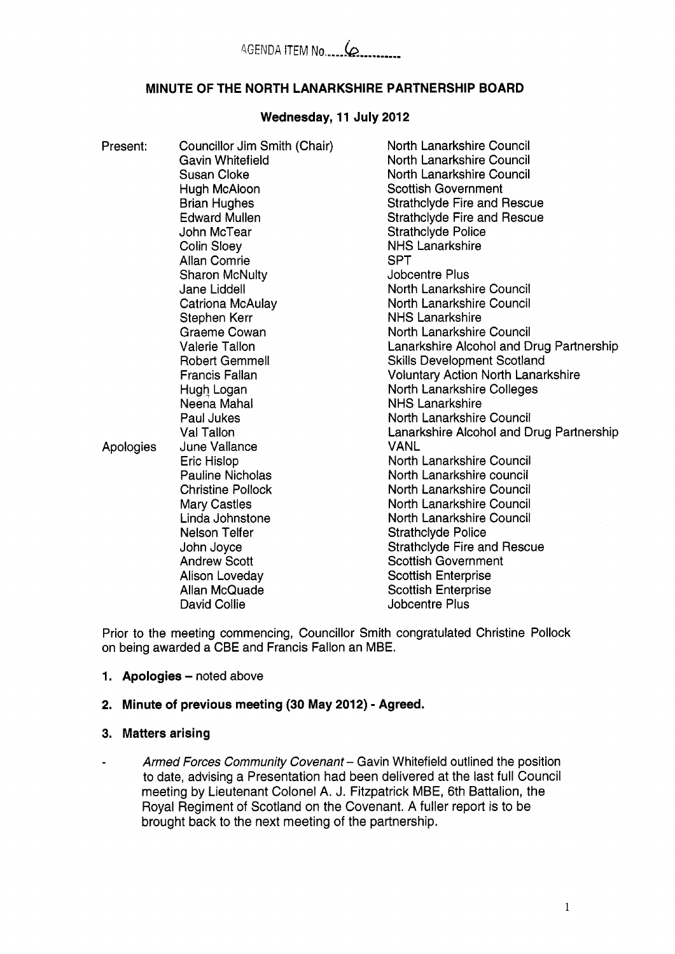# **MINUTE OF THE NORTH LANARKSHIRE PARTNERSHIP BOARD**

# **Wednesday, 11 July 2012**

| Present:  | Councillor Jim Smith (Chair)<br>Gavin Whitefield<br><b>Susan Cloke</b><br>Hugh McAloon<br><b>Brian Hughes</b><br><b>Edward Mullen</b><br>John McTear<br><b>Colin Sloey</b><br><b>Allan Comrie</b><br><b>Sharon McNulty</b><br>Jane Liddell<br>Catriona McAulay<br>Stephen Kerr<br>Graeme Cowan<br><b>Valerie Tallon</b><br><b>Robert Gemmell</b><br><b>Francis Fallan</b><br>Hugh Logan<br>Neena Mahal<br>Paul Jukes<br>Val Tallon | North Lanarkshire Council<br>North Lanarkshire Council<br>North Lanarkshire Council<br><b>Scottish Government</b><br><b>Strathclyde Fire and Rescue</b><br><b>Strathclyde Fire and Rescue</b><br><b>Strathclyde Police</b><br><b>NHS Lanarkshire</b><br><b>SPT</b><br>Jobcentre Plus<br>North Lanarkshire Council<br>North Lanarkshire Council<br><b>NHS Lanarkshire</b><br>North Lanarkshire Council<br>Lanarkshire Alcohol and Drug Partnership<br><b>Skills Development Scotland</b><br><b>Voluntary Action North Lanarkshire</b><br>North Lanarkshire Colleges<br><b>NHS Lanarkshire</b><br>North Lanarkshire Council<br>Lanarkshire Alcohol and Drug Partnership |
|-----------|------------------------------------------------------------------------------------------------------------------------------------------------------------------------------------------------------------------------------------------------------------------------------------------------------------------------------------------------------------------------------------------------------------------------------------|-----------------------------------------------------------------------------------------------------------------------------------------------------------------------------------------------------------------------------------------------------------------------------------------------------------------------------------------------------------------------------------------------------------------------------------------------------------------------------------------------------------------------------------------------------------------------------------------------------------------------------------------------------------------------|
| Apologies | June Vallance<br>Eric Hislop<br><b>Pauline Nicholas</b><br><b>Christine Pollock</b><br>Mary Castles<br>Linda Johnstone<br><b>Nelson Telfer</b><br>John Joyce<br><b>Andrew Scott</b><br>Alison Loveday<br>Allan McQuade<br><b>David Collie</b>                                                                                                                                                                                      | <b>VANL</b><br>North Lanarkshire Council<br>North Lanarkshire council<br>North Lanarkshire Council<br>North Lanarkshire Council<br>North Lanarkshire Council<br><b>Strathclyde Police</b><br><b>Strathclyde Fire and Rescue</b><br><b>Scottish Government</b><br><b>Scottish Enterprise</b><br><b>Scottish Enterprise</b><br><b>Jobcentre Plus</b>                                                                                                                                                                                                                                                                                                                    |

Prior to the meeting commencing, Councillor Smith congratulated Christine Pollock on being awarded a CBE and Francis Fallon an MBE.

**1. Apologies - noted above** 

## **2. Minute of previous meeting (30 May 2012)** - **Agreed.**

# **3. Matters arising**

*Armed Forces Community Covenant-* Gavin Whitefield outlined the position  $\mathbf{r}$ to date, advising a Presentation had been delivered at the last full Council meeting by Lieutenant Colonel A. J. Fitzpatrick MBE, 6th Battalion, the Royal Regiment of Scotland on the Covenant. A fuller report is to be brought back to the next meeting of the partnership.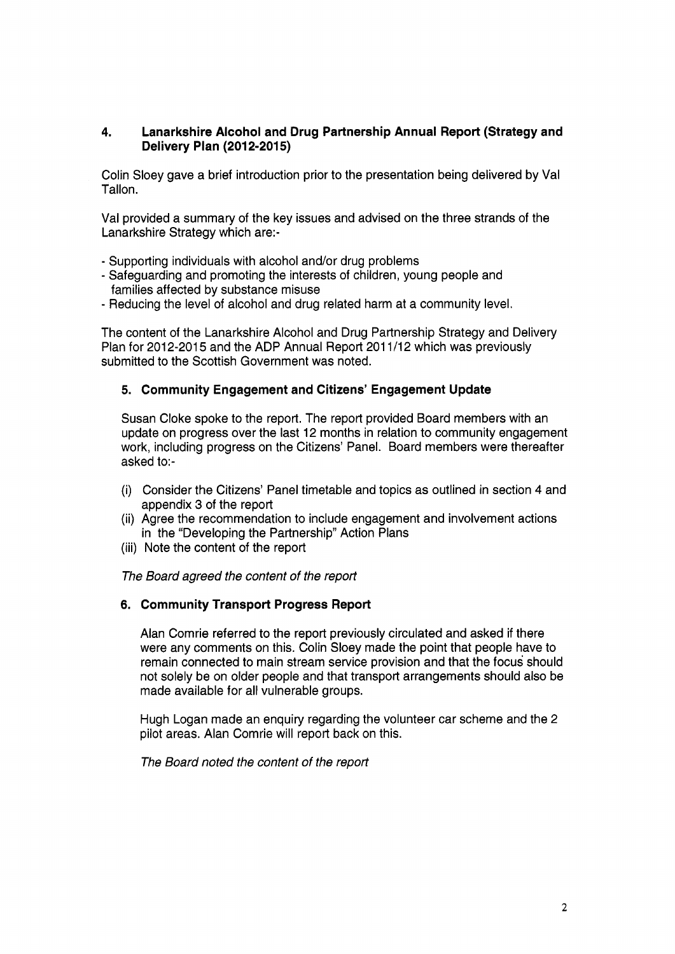# **4. Lanarkshire Alcohol and Drug Partnership Annual Report (Strategy and Delivery Plan (2012-2015)**

Colin Sloey gave a brief introduction prior to the presentation being delivered by Val Tallon.

Val provided a summary of the key issues and advised on the three strands of the Lanarkshire Strategy which are:-

- Supporting individuals with alcohol and/or drug problems
- Safeguarding and promoting the interests of children, young people and families affected by substance misuse
- Reducing the level of alcohol and drug related harm at a community level.

The content of the Lanarkshire Alcohol and Drug Partnership Strategy and Delivery Plan for 2012-2015 and the ADP Annual Report 2011/12 which was previously submitted to the Scottish Government was noted.

### **5. Community Engagement and Citizens' Engagement Update**

Susan Cloke spoke to the report. The report provided Board members with an update on progress over the last 12 months in relation to community engagement work, including progress on the Citizens' Panel. Board members were thereafter asked to:-

- (i) Consider the Citizens' Panel timetable and topics as outlined in section **4** and appendix 3 of the report
- (ii) Agree the recommendation to include engagement and involvement actions in the "Developing the Partnership'' Action Plans
- (iii) Note the content of the report

#### *The Board agreed the content of the report*

## **6. Community Transport Progress Report**

Alan Comrie referred to the report previously circulated and asked if there were any comments on this. Colin Sloey made the point that people have to remain connected to main stream service provision and that the focus should not solely be on older people and that transport arrangements should also be made available for all vulnerable groups.

Hugh Logan made an enquiry regarding the volunteer car scheme and the 2 pilot areas. Alan Comrie will report back on this.

*The Board noted the content of the report*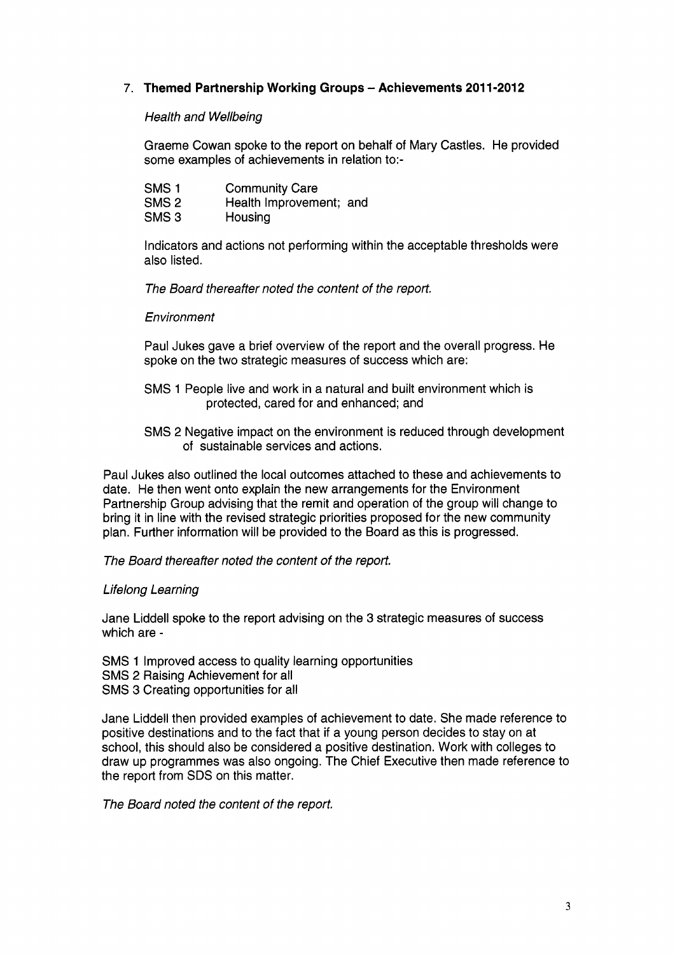# **7. Themed Partnership Working Groups** - **Achievements 201 1-2012**

### *Health and Wellbeing*

Graeme Cowan spoke to the report on behalf of Mary Castles. He provided some examples of achievements in relation to:-

| SMS <sub>1</sub> | <b>Community Care</b>   |  |
|------------------|-------------------------|--|
| SMS <sub>2</sub> | Health Improvement; and |  |
| SMS <sub>3</sub> | Housing                 |  |

Indicators and actions not performing within the acceptable thresholds were also listed.

*The Board thereafter noted the content of the report.* 

#### *Environment*

Paul Jukes gave a brief overview of the report and the overall progress. He spoke on the two strategic measures of success which are:

- SMS 1 People live and work in a natural and built environment which is protected, cared for and enhanced; and
- SMS 2 Negative impact on the environment is reduced through development of sustainable services and actions.

Paul Jukes also outlined the local outcomes attached to these and achievements to date. He then went onto explain the new arrangements for the Environment Partnership Group advising that the remit and operation of the group will change to bring it in line with the revised strategic priorities proposed for the new community plan. Further information will be provided to the Board as this is progressed.

*The Board thereafter noted the content of the report.* 

## *Lifelong Learning*

Jane Liddell spoke to the report advising on the 3 strategic measures of success which are -

SMS 1 Improved access to quality learning opportunities SMS 2 Raising Achievement for all SMS 3 Creating opportunities for all

Jane Liddell then provided examples of achievement to date. She made reference to positive destinations and to the fact that if a young person decides to stay on at school, this should also be considered a positive destination. Work with colleges to draw up programmes was also ongoing. The Chief Executive then made reference to the report from SDS on this matter.

*The Board noted the content of the report.*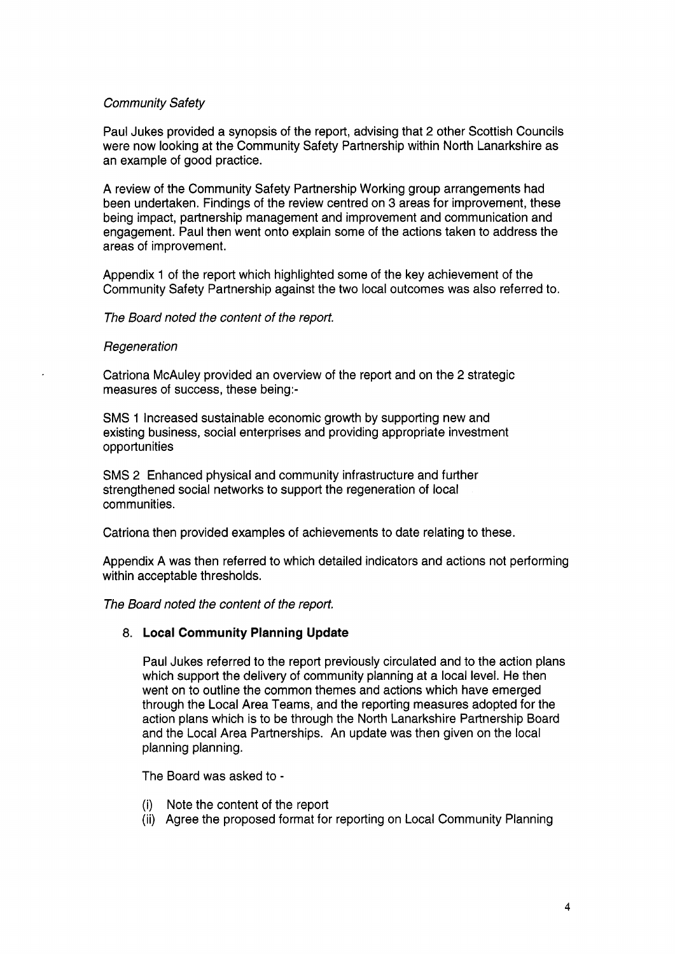## *Community Safety*

Paul Jukes provided a synopsis of the report, advising that 2 other Scottish Councils were now looking at the Community Safety Partnership within North Lanarkshire as an example of good practice.

A review of the Community Safety Partnership Working group arrangements had been undertaken. Findings of the review centred on 3 areas for improvement, these being impact, partnership management and improvement and communication and engagement. Paul then went onto explain some of the actions taken to address the areas of improvement.

Appendix 1 of the report which highlighted some of the key achievement of the Community Safety Partnership against the two local outcomes was also referred to.

#### *The Board noted the content of the report.*

#### *Regenera tion*

Catriona McAuley provided an overview of the report and on the 2 strategic measures of success, these being:-

SMS 1 Increased sustainable economic growth by supporting new and existing business, social enterprises and providing appropriate investment opportunities

SMS 2 Enhanced physical and community infrastructure and further strengthened social networks to support the regeneration of local communities.

Catriona then provided examples of achievements to date relating to these.

Appendix A was then referred to which detailed indicators and actions not performing within acceptable thresholds.

*The Board noted the content of the report.* 

#### **8. Local Community Planning Update**

Paul Jukes referred to the report previously circulated and to the action plans which support the delivery of community planning at a local level. He then went on to outline the common themes and actions which have emerged through the Local Area Teams, and the reporting measures adopted for the action plans which is to be through the North Lanarkshire Partnership Board and the Local Area Partnerships. An update was then given on the local planning planning.

The Board was asked to -

- (i) Note the content of the report
- (ii) Agree the proposed format for reporting on Local Community Planning